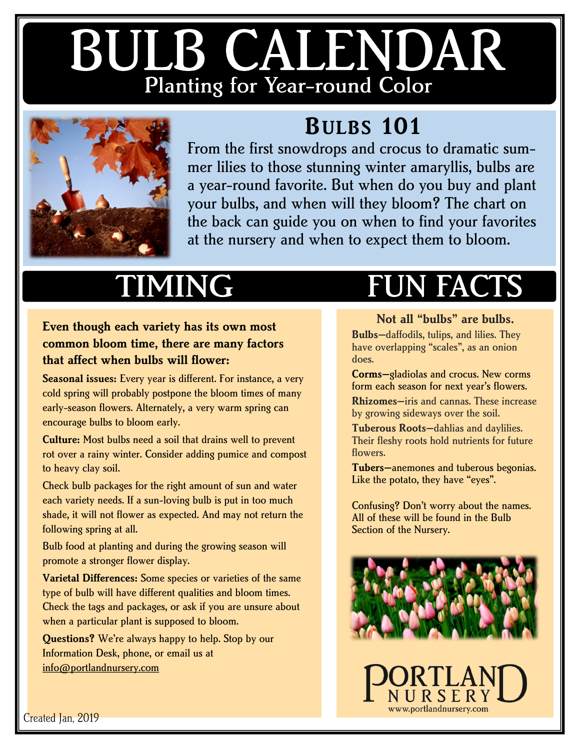# BULB CALENDAR Planting for Year-round Color



#### **BULBS 101**

From the first snowdrops and crocus to dramatic summer lilies to those stunning winter amaryllis, bulbs are a year-round favorite. But when do you buy and plant your bulbs, and when will they bloom? The chart on the back can guide you on when to find your favorites at the nursery and when to expect them to bloom.

### **IMING**

**Even though each variety has its own most common bloom time, there are many factors that affect when bulbs will flower:**

**Seasonal issues:** Every year is different. For instance, a very cold spring will probably postpone the bloom times of many early-season flowers. Alternately, a very warm spring can encourage bulbs to bloom early.

**Culture:** Most bulbs need a soil that drains well to prevent rot over a rainy winter. Consider adding pumice and compost to heavy clay soil.

Check bulb packages for the right amount of sun and water each variety needs. If a sun-loving bulb is put in too much shade, it will not flower as expected. And may not return the following spring at all.

Bulb food at planting and during the growing season will promote a stronger flower display.

**Varietal Differences:** Some species or varieties of the same type of bulb will have different qualities and bloom times. Check the tags and packages, or ask if you are unsure about when a particular plant is supposed to bloom.

**Questions?** We're always happy to help. Stop by our Information Desk, phone, or email us at [info@portlandnursery.com](mailto:info@portlandnursery.com)

## **FUN FACTS**

#### **Not all "bulbs" are bulbs.**

**Bulbs—**daffodils, tulips, and lilies. They have overlapping "scales", as an onion does.

**Corms—**gladiolas and crocus. New corms form each season for next year's flowers.

**Rhizomes—**iris and cannas. These increase by growing sideways over the soil.

**Tuberous Roots—**dahlias and daylilies. Their fleshy roots hold nutrients for future flowers.

**Tubers—**anemones and tuberous begonias. Like the potato, they have "eyes".

Confusing? Don't worry about the names. All of these will be found in the Bulb Section of the Nursery.



www.portlandnursery.com